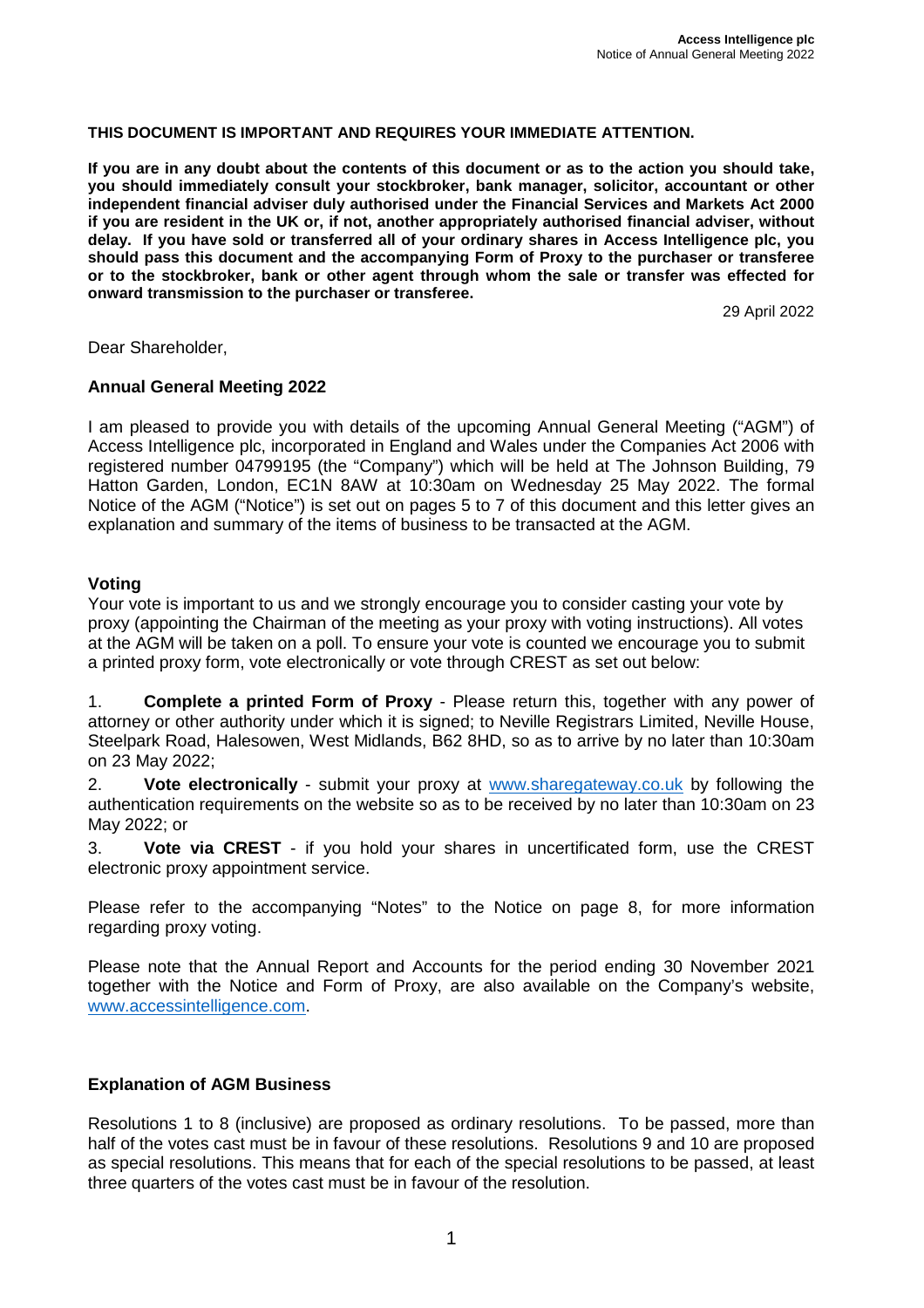### **THIS DOCUMENT IS IMPORTANT AND REQUIRES YOUR IMMEDIATE ATTENTION.**

**If you are in any doubt about the contents of this document or as to the action you should take, you should immediately consult your stockbroker, bank manager, solicitor, accountant or other independent financial adviser duly authorised under the Financial Services and Markets Act 2000 if you are resident in the UK or, if not, another appropriately authorised financial adviser, without delay. If you have sold or transferred all of your ordinary shares in Access Intelligence plc, you should pass this document and the accompanying Form of Proxy to the purchaser or transferee or to the stockbroker, bank or other agent through whom the sale or transfer was effected for onward transmission to the purchaser or transferee.**

29 April 2022

Dear Shareholder,

## **Annual General Meeting 2022**

I am pleased to provide you with details of the upcoming Annual General Meeting ("AGM") of Access Intelligence plc, incorporated in England and Wales under the Companies Act 2006 with registered number 04799195 (the "Company") which will be held at The Johnson Building, 79 Hatton Garden, London, EC1N 8AW at 10:30am on Wednesday 25 May 2022. The formal Notice of the AGM ("Notice") is set out on pages 5 to 7 of this document and this letter gives an explanation and summary of the items of business to be transacted at the AGM.

#### **Voting**

Your vote is important to us and we strongly encourage you to consider casting your vote by proxy (appointing the Chairman of the meeting as your proxy with voting instructions). All votes at the AGM will be taken on a poll. To ensure your vote is counted we encourage you to submit a printed proxy form, vote electronically or vote through CREST as set out below:

1. **Complete a printed Form of Proxy** - Please return this, together with any power of attorney or other authority under which it is signed; to Neville Registrars Limited, Neville House, Steelpark Road, Halesowen, West Midlands, B62 8HD, so as to arrive by no later than 10:30am on 23 May 2022;

2. **Vote electronically** - submit your proxy at www.sharegateway.co.uk by following the authentication requirements on the website so as to be received by no later than 10:30am on 23 May 2022; or

3. **Vote via CREST** - if you hold your shares in uncertificated form, use the CREST electronic proxy appointment service.

Please refer to the accompanying "Notes" to the Notice on page 8, for more information regarding proxy voting.

Please note that the Annual Report and Accounts for the period ending 30 November 2021 together with the Notice and Form of Proxy, are also available on the Company's website, www.accessintelligence.com.

## **Explanation of AGM Business**

Resolutions 1 to 8 (inclusive) are proposed as ordinary resolutions. To be passed, more than half of the votes cast must be in favour of these resolutions. Resolutions 9 and 10 are proposed as special resolutions. This means that for each of the special resolutions to be passed, at least three quarters of the votes cast must be in favour of the resolution.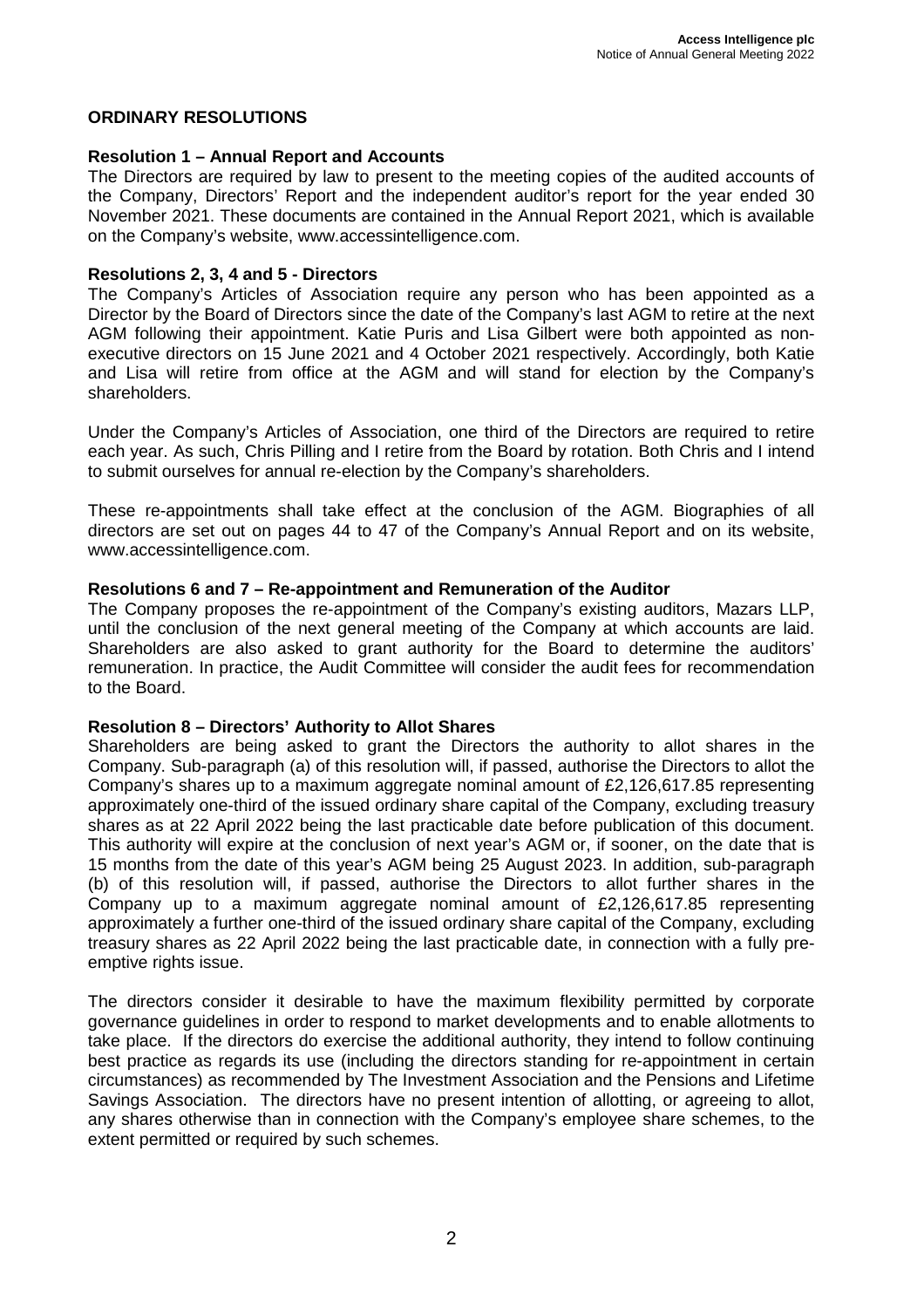# **ORDINARY RESOLUTIONS**

### **Resolution 1 – Annual Report and Accounts**

The Directors are required by law to present to the meeting copies of the audited accounts of the Company, Directors' Report and the independent auditor's report for the year ended 30 November 2021. These documents are contained in the Annual Report 2021, which is available on the Company's website, www.accessintelligence.com.

#### **Resolutions 2, 3, 4 and 5 - Directors**

The Company's Articles of Association require any person who has been appointed as a Director by the Board of Directors since the date of the Company's last AGM to retire at the next AGM following their appointment. Katie Puris and Lisa Gilbert were both appointed as nonexecutive directors on 15 June 2021 and 4 October 2021 respectively. Accordingly, both Katie and Lisa will retire from office at the AGM and will stand for election by the Company's shareholders.

Under the Company's Articles of Association, one third of the Directors are required to retire each year. As such, Chris Pilling and I retire from the Board by rotation. Both Chris and I intend to submit ourselves for annual re-election by the Company's shareholders.

These re-appointments shall take effect at the conclusion of the AGM. Biographies of all directors are set out on pages 44 to 47 of the Company's Annual Report and on its website, www.accessintelligence.com.

#### **Resolutions 6 and 7 – Re-appointment and Remuneration of the Auditor**

The Company proposes the re-appointment of the Company's existing auditors, Mazars LLP, until the conclusion of the next general meeting of the Company at which accounts are laid. Shareholders are also asked to grant authority for the Board to determine the auditors' remuneration. In practice, the Audit Committee will consider the audit fees for recommendation to the Board.

#### **Resolution 8 – Directors' Authority to Allot Shares**

Shareholders are being asked to grant the Directors the authority to allot shares in the Company. Sub-paragraph (a) of this resolution will, if passed, authorise the Directors to allot the Company's shares up to a maximum aggregate nominal amount of £2,126,617.85 representing approximately one-third of the issued ordinary share capital of the Company, excluding treasury shares as at 22 April 2022 being the last practicable date before publication of this document. This authority will expire at the conclusion of next year's AGM or, if sooner, on the date that is 15 months from the date of this year's AGM being 25 August 2023. In addition, sub-paragraph (b) of this resolution will, if passed, authorise the Directors to allot further shares in the Company up to a maximum aggregate nominal amount of £2,126,617.85 representing approximately a further one-third of the issued ordinary share capital of the Company, excluding treasury shares as 22 April 2022 being the last practicable date, in connection with a fully preemptive rights issue.

The directors consider it desirable to have the maximum flexibility permitted by corporate governance guidelines in order to respond to market developments and to enable allotments to take place. If the directors do exercise the additional authority, they intend to follow continuing best practice as regards its use (including the directors standing for re-appointment in certain circumstances) as recommended by The Investment Association and the Pensions and Lifetime Savings Association. The directors have no present intention of allotting, or agreeing to allot, any shares otherwise than in connection with the Company's employee share schemes, to the extent permitted or required by such schemes.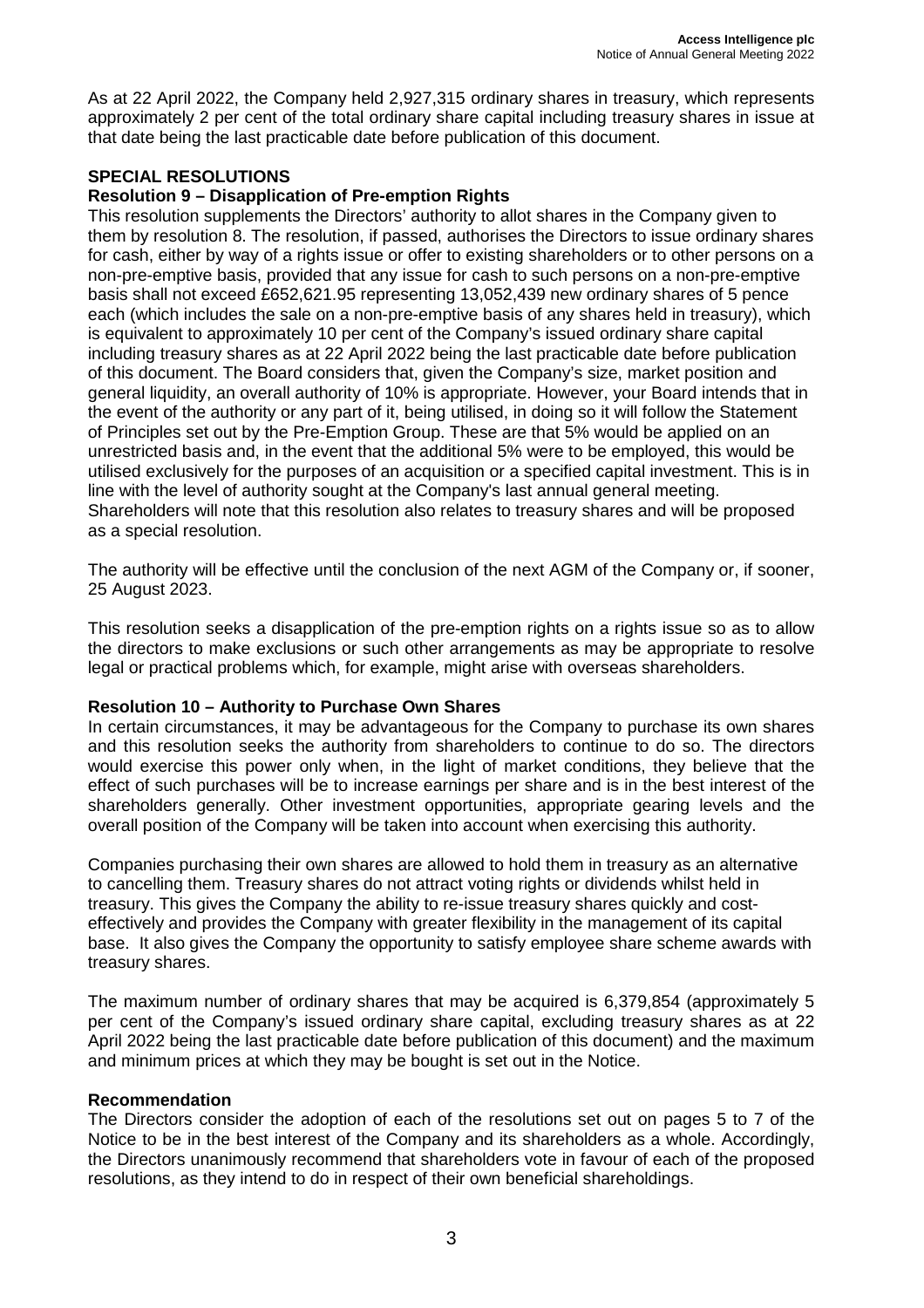As at 22 April 2022, the Company held 2,927,315 ordinary shares in treasury, which represents approximately 2 per cent of the total ordinary share capital including treasury shares in issue at that date being the last practicable date before publication of this document.

# **SPECIAL RESOLUTIONS**

## **Resolution 9 – Disapplication of Pre-emption Rights**

This resolution supplements the Directors' authority to allot shares in the Company given to them by resolution 8. The resolution, if passed, authorises the Directors to issue ordinary shares for cash, either by way of a rights issue or offer to existing shareholders or to other persons on a non-pre-emptive basis, provided that any issue for cash to such persons on a non-pre-emptive basis shall not exceed £652,621.95 representing 13,052,439 new ordinary shares of 5 pence each (which includes the sale on a non-pre-emptive basis of any shares held in treasury), which is equivalent to approximately 10 per cent of the Company's issued ordinary share capital including treasury shares as at 22 April 2022 being the last practicable date before publication of this document. The Board considers that, given the Company's size, market position and general liquidity, an overall authority of 10% is appropriate. However, your Board intends that in the event of the authority or any part of it, being utilised, in doing so it will follow the Statement of Principles set out by the Pre-Emption Group. These are that 5% would be applied on an unrestricted basis and, in the event that the additional 5% were to be employed, this would be utilised exclusively for the purposes of an acquisition or a specified capital investment. This is in line with the level of authority sought at the Company's last annual general meeting. Shareholders will note that this resolution also relates to treasury shares and will be proposed as a special resolution.

The authority will be effective until the conclusion of the next AGM of the Company or, if sooner, 25 August 2023.

This resolution seeks a disapplication of the pre-emption rights on a rights issue so as to allow the directors to make exclusions or such other arrangements as may be appropriate to resolve legal or practical problems which, for example, might arise with overseas shareholders.

## **Resolution 10 – Authority to Purchase Own Shares**

In certain circumstances, it may be advantageous for the Company to purchase its own shares and this resolution seeks the authority from shareholders to continue to do so. The directors would exercise this power only when, in the light of market conditions, they believe that the effect of such purchases will be to increase earnings per share and is in the best interest of the shareholders generally. Other investment opportunities, appropriate gearing levels and the overall position of the Company will be taken into account when exercising this authority.

Companies purchasing their own shares are allowed to hold them in treasury as an alternative to cancelling them. Treasury shares do not attract voting rights or dividends whilst held in treasury. This gives the Company the ability to re-issue treasury shares quickly and costeffectively and provides the Company with greater flexibility in the management of its capital base. It also gives the Company the opportunity to satisfy employee share scheme awards with treasury shares.

The maximum number of ordinary shares that may be acquired is 6,379,854 (approximately 5 per cent of the Company's issued ordinary share capital, excluding treasury shares as at 22 April 2022 being the last practicable date before publication of this document) and the maximum and minimum prices at which they may be bought is set out in the Notice.

## **Recommendation**

The Directors consider the adoption of each of the resolutions set out on pages 5 to 7 of the Notice to be in the best interest of the Company and its shareholders as a whole. Accordingly, the Directors unanimously recommend that shareholders vote in favour of each of the proposed resolutions, as they intend to do in respect of their own beneficial shareholdings.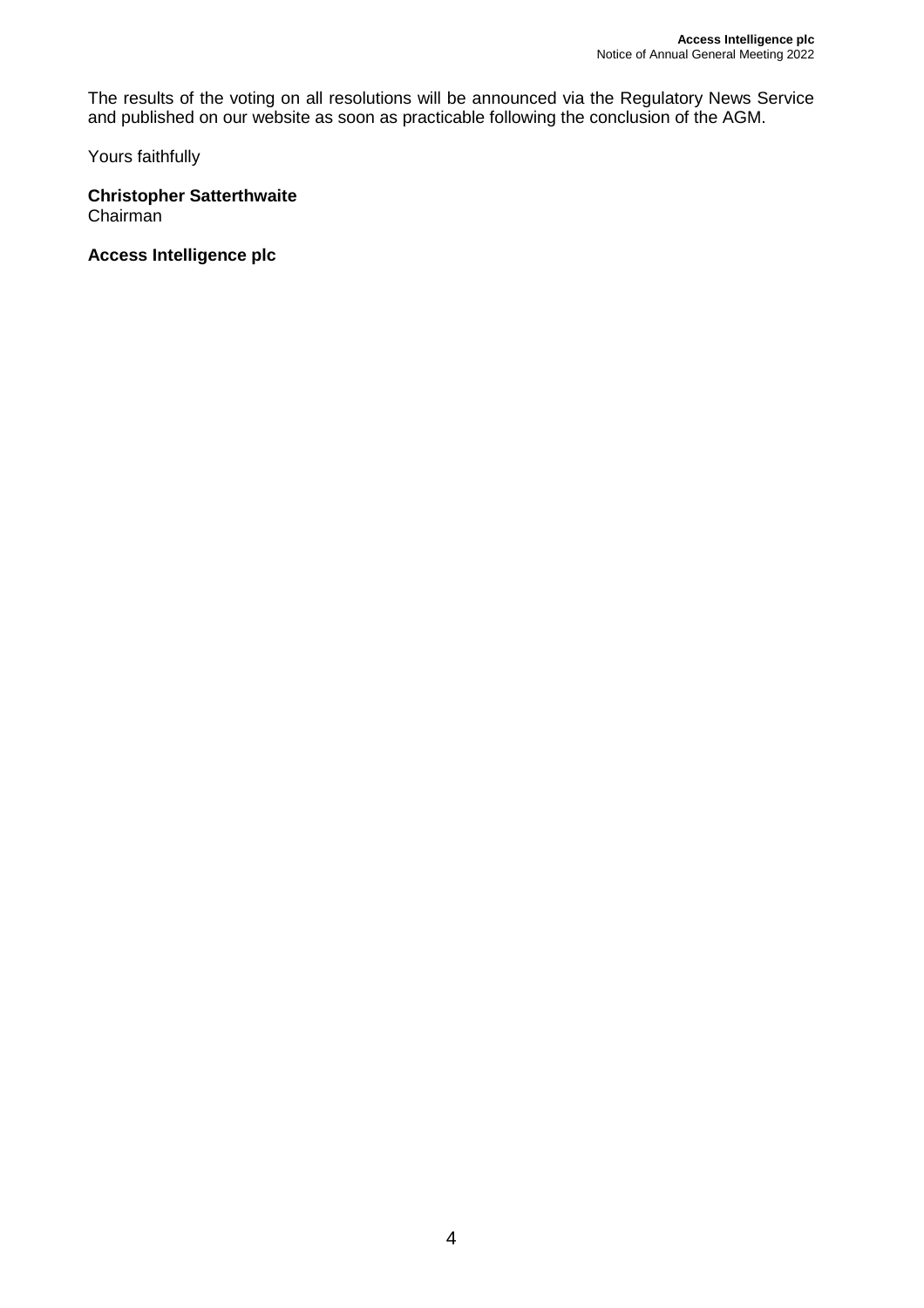The results of the voting on all resolutions will be announced via the Regulatory News Service and published on our website as soon as practicable following the conclusion of the AGM.

Yours faithfully

**Christopher Satterthwaite**  Chairman

**Access Intelligence plc**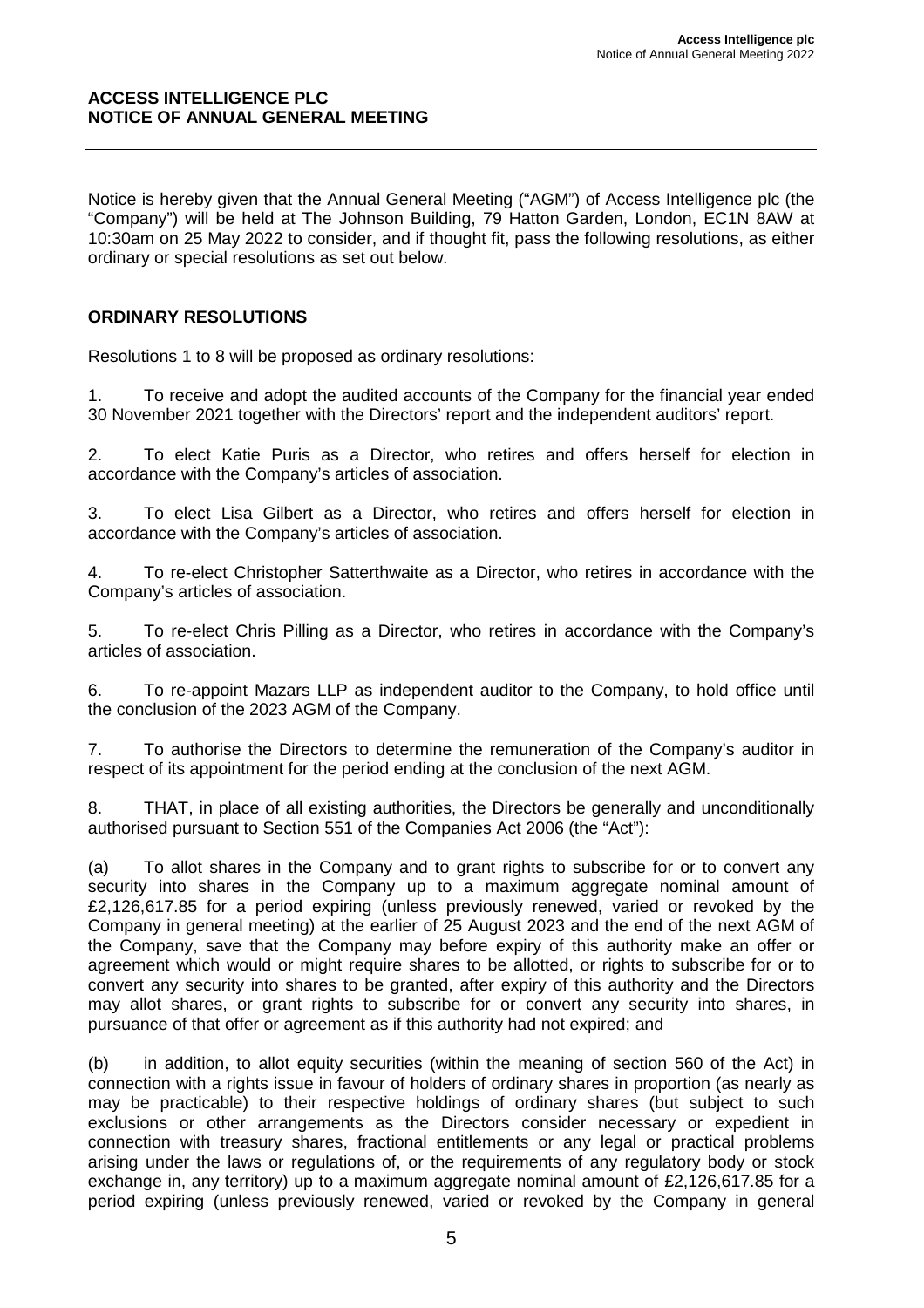## **ACCESS INTELLIGENCE PLC NOTICE OF ANNUAL GENERAL MEETING**

Notice is hereby given that the Annual General Meeting ("AGM") of Access Intelligence plc (the "Company") will be held at The Johnson Building, 79 Hatton Garden, London, EC1N 8AW at 10:30am on 25 May 2022 to consider, and if thought fit, pass the following resolutions, as either ordinary or special resolutions as set out below.

# **ORDINARY RESOLUTIONS**

Resolutions 1 to 8 will be proposed as ordinary resolutions:

1. To receive and adopt the audited accounts of the Company for the financial year ended 30 November 2021 together with the Directors' report and the independent auditors' report.

2. To elect Katie Puris as a Director, who retires and offers herself for election in accordance with the Company's articles of association.

3. To elect Lisa Gilbert as a Director, who retires and offers herself for election in accordance with the Company's articles of association.

4. To re-elect Christopher Satterthwaite as a Director, who retires in accordance with the Company's articles of association.

5. To re-elect Chris Pilling as a Director, who retires in accordance with the Company's articles of association.

6. To re-appoint Mazars LLP as independent auditor to the Company, to hold office until the conclusion of the 2023 AGM of the Company.

7. To authorise the Directors to determine the remuneration of the Company's auditor in respect of its appointment for the period ending at the conclusion of the next AGM.

8. THAT, in place of all existing authorities, the Directors be generally and unconditionally authorised pursuant to Section 551 of the Companies Act 2006 (the "Act"):

(a) To allot shares in the Company and to grant rights to subscribe for or to convert any security into shares in the Company up to a maximum aggregate nominal amount of £2,126,617.85 for a period expiring (unless previously renewed, varied or revoked by the Company in general meeting) at the earlier of 25 August 2023 and the end of the next AGM of the Company, save that the Company may before expiry of this authority make an offer or agreement which would or might require shares to be allotted, or rights to subscribe for or to convert any security into shares to be granted, after expiry of this authority and the Directors may allot shares, or grant rights to subscribe for or convert any security into shares, in pursuance of that offer or agreement as if this authority had not expired; and

(b) in addition, to allot equity securities (within the meaning of section 560 of the Act) in connection with a rights issue in favour of holders of ordinary shares in proportion (as nearly as may be practicable) to their respective holdings of ordinary shares (but subject to such exclusions or other arrangements as the Directors consider necessary or expedient in connection with treasury shares, fractional entitlements or any legal or practical problems arising under the laws or regulations of, or the requirements of any regulatory body or stock exchange in, any territory) up to a maximum aggregate nominal amount of £2,126,617,85 for a period expiring (unless previously renewed, varied or revoked by the Company in general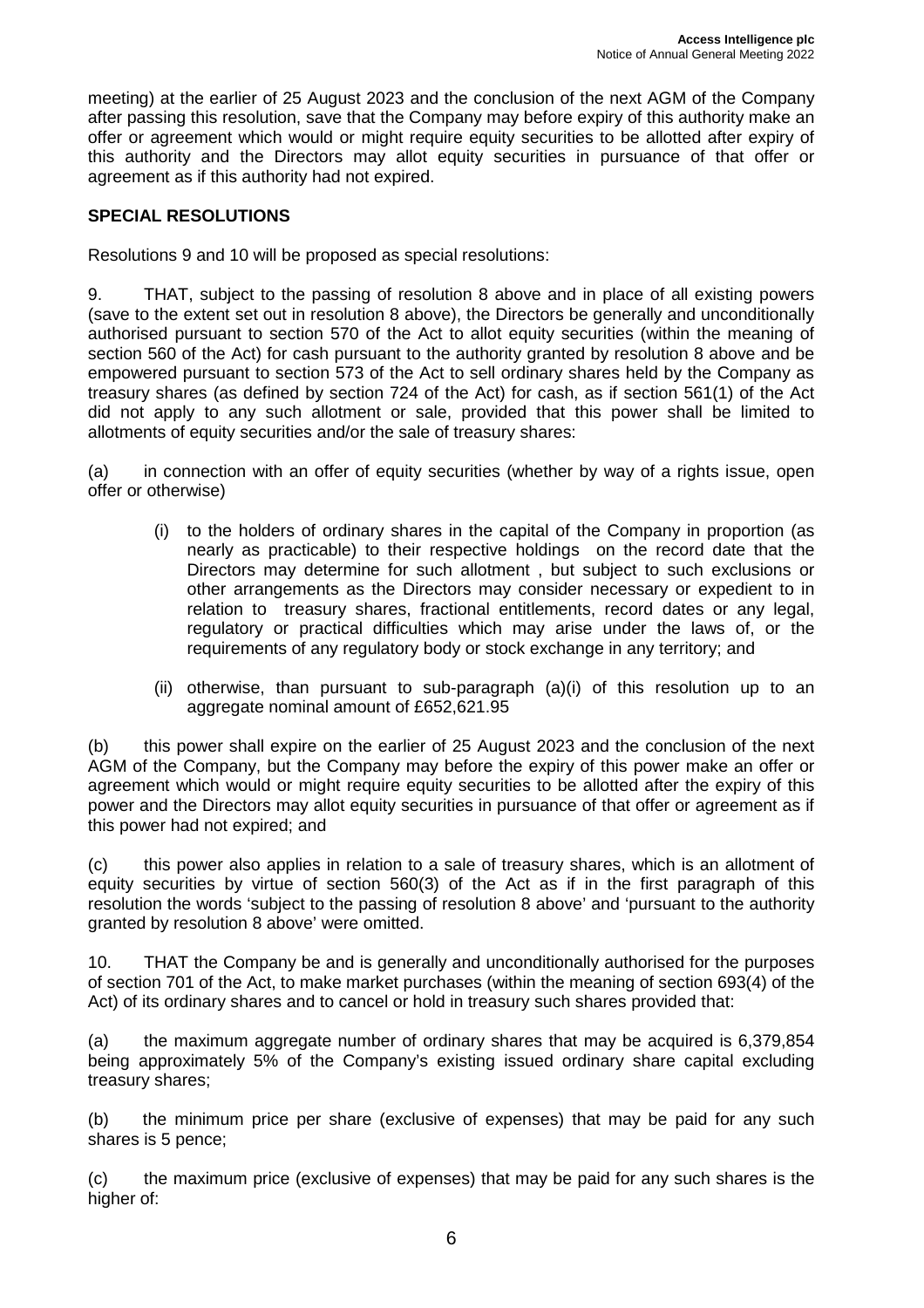meeting) at the earlier of 25 August 2023 and the conclusion of the next AGM of the Company after passing this resolution, save that the Company may before expiry of this authority make an offer or agreement which would or might require equity securities to be allotted after expiry of this authority and the Directors may allot equity securities in pursuance of that offer or agreement as if this authority had not expired.

# **SPECIAL RESOLUTIONS**

Resolutions 9 and 10 will be proposed as special resolutions:

9. THAT, subject to the passing of resolution 8 above and in place of all existing powers (save to the extent set out in resolution 8 above), the Directors be generally and unconditionally authorised pursuant to section 570 of the Act to allot equity securities (within the meaning of section 560 of the Act) for cash pursuant to the authority granted by resolution 8 above and be empowered pursuant to section 573 of the Act to sell ordinary shares held by the Company as treasury shares (as defined by section 724 of the Act) for cash, as if section 561(1) of the Act did not apply to any such allotment or sale, provided that this power shall be limited to allotments of equity securities and/or the sale of treasury shares:

(a) in connection with an offer of equity securities (whether by way of a rights issue, open offer or otherwise)

- (i) to the holders of ordinary shares in the capital of the Company in proportion (as nearly as practicable) to their respective holdings on the record date that the Directors may determine for such allotment , but subject to such exclusions or other arrangements as the Directors may consider necessary or expedient to in relation to treasury shares, fractional entitlements, record dates or any legal, regulatory or practical difficulties which may arise under the laws of, or the requirements of any regulatory body or stock exchange in any territory; and
- (ii) otherwise, than pursuant to sub-paragraph (a)(i) of this resolution up to an aggregate nominal amount of £652,621,95

(b) this power shall expire on the earlier of 25 August 2023 and the conclusion of the next AGM of the Company, but the Company may before the expiry of this power make an offer or agreement which would or might require equity securities to be allotted after the expiry of this power and the Directors may allot equity securities in pursuance of that offer or agreement as if this power had not expired; and

(c) this power also applies in relation to a sale of treasury shares, which is an allotment of equity securities by virtue of section 560(3) of the Act as if in the first paragraph of this resolution the words 'subject to the passing of resolution 8 above' and 'pursuant to the authority granted by resolution 8 above' were omitted.

10. THAT the Company be and is generally and unconditionally authorised for the purposes of section 701 of the Act, to make market purchases (within the meaning of section 693(4) of the Act) of its ordinary shares and to cancel or hold in treasury such shares provided that:

(a) the maximum aggregate number of ordinary shares that may be acquired is 6,379,854 being approximately 5% of the Company's existing issued ordinary share capital excluding treasury shares;

(b) the minimum price per share (exclusive of expenses) that may be paid for any such shares is 5 pence;

(c) the maximum price (exclusive of expenses) that may be paid for any such shares is the higher of: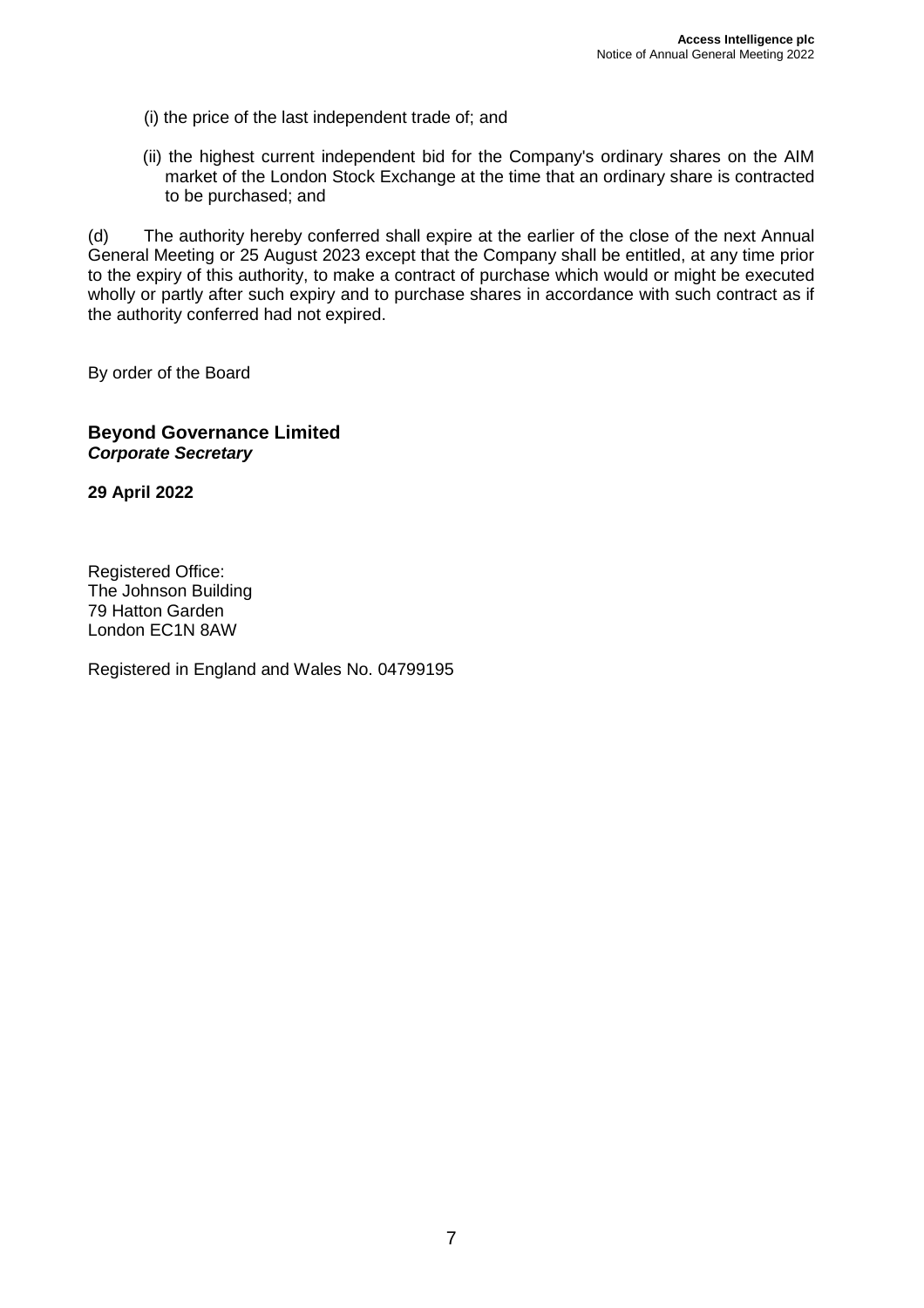- (i) the price of the last independent trade of; and
- (ii) the highest current independent bid for the Company's ordinary shares on the AIM market of the London Stock Exchange at the time that an ordinary share is contracted to be purchased; and

(d) The authority hereby conferred shall expire at the earlier of the close of the next Annual General Meeting or 25 August 2023 except that the Company shall be entitled, at any time prior to the expiry of this authority, to make a contract of purchase which would or might be executed wholly or partly after such expiry and to purchase shares in accordance with such contract as if the authority conferred had not expired.

By order of the Board

# **Beyond Governance Limited Corporate Secretary**

**29 April 2022** 

Registered Office: The Johnson Building 79 Hatton Garden London EC1N 8AW

Registered in England and Wales No. 04799195